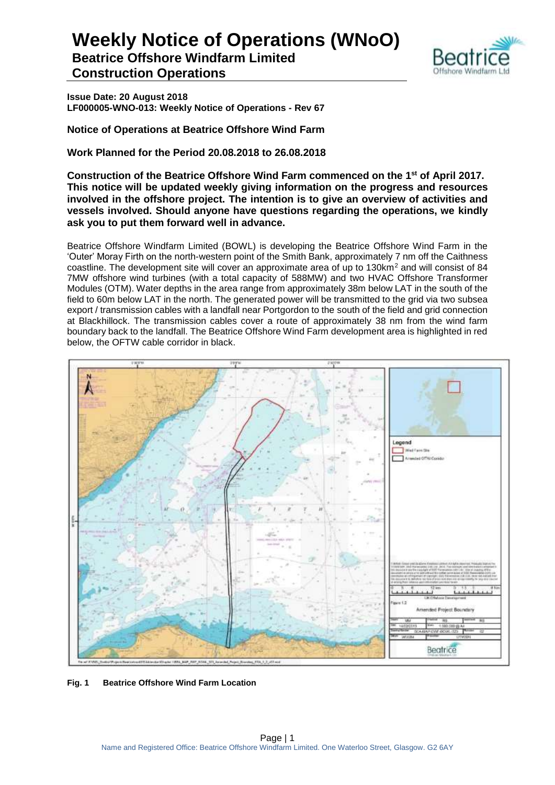**Beatrice Offshore Windfarm Limited Construction Operations**



**Issue Date: 20 August 2018 LF000005-WNO-013: Weekly Notice of Operations - Rev 67**

**Notice of Operations at Beatrice Offshore Wind Farm**

**Work Planned for the Period 20.08.2018 to 26.08.2018**

**Construction of the Beatrice Offshore Wind Farm commenced on the 1 st of April 2017. This notice will be updated weekly giving information on the progress and resources involved in the offshore project. The intention is to give an overview of activities and vessels involved. Should anyone have questions regarding the operations, we kindly ask you to put them forward well in advance.** 

Beatrice Offshore Windfarm Limited (BOWL) is developing the Beatrice Offshore Wind Farm in the 'Outer' Moray Firth on the north-western point of the Smith Bank, approximately 7 nm off the Caithness coastline. The development site will cover an approximate area of up to 130km<sup>2</sup> and will consist of 84 7MW offshore wind turbines (with a total capacity of 588MW) and two HVAC Offshore Transformer Modules (OTM). Water depths in the area range from approximately 38m below LAT in the south of the field to 60m below LAT in the north. The generated power will be transmitted to the grid via two subsea export / transmission cables with a landfall near Portgordon to the south of the field and grid connection at Blackhillock. The transmission cables cover a route of approximately 38 nm from the wind farm boundary back to the landfall. The Beatrice Offshore Wind Farm development area is highlighted in red below, the OFTW cable corridor in black.



**Fig. 1 Beatrice Offshore Wind Farm Location**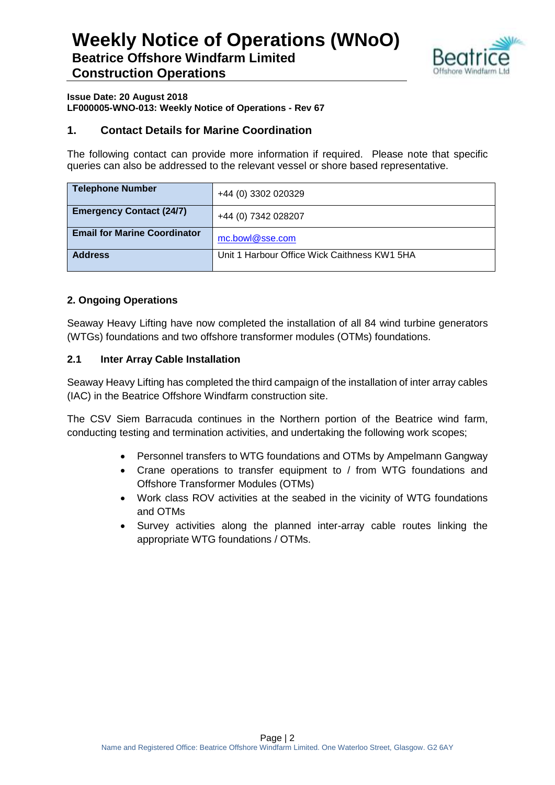

#### **Issue Date: 20 August 2018 LF000005-WNO-013: Weekly Notice of Operations - Rev 67**

## **1. Contact Details for Marine Coordination**

The following contact can provide more information if required. Please note that specific queries can also be addressed to the relevant vessel or shore based representative.

| <b>Telephone Number</b>             | +44 (0) 3302 020329                          |
|-------------------------------------|----------------------------------------------|
| <b>Emergency Contact (24/7)</b>     | +44 (0) 7342 028207                          |
| <b>Email for Marine Coordinator</b> | mc.bowl@sse.com                              |
| <b>Address</b>                      | Unit 1 Harbour Office Wick Caithness KW1 5HA |

## **2. Ongoing Operations**

Seaway Heavy Lifting have now completed the installation of all 84 wind turbine generators (WTGs) foundations and two offshore transformer modules (OTMs) foundations.

## **2.1 Inter Array Cable Installation**

Seaway Heavy Lifting has completed the third campaign of the installation of inter array cables (IAC) in the Beatrice Offshore Windfarm construction site.

The CSV Siem Barracuda continues in the Northern portion of the Beatrice wind farm, conducting testing and termination activities, and undertaking the following work scopes;

- Personnel transfers to WTG foundations and OTMs by Ampelmann Gangway
- Crane operations to transfer equipment to / from WTG foundations and Offshore Transformer Modules (OTMs)
- Work class ROV activities at the seabed in the vicinity of WTG foundations and OTMs
- Survey activities along the planned inter-array cable routes linking the appropriate WTG foundations / OTMs.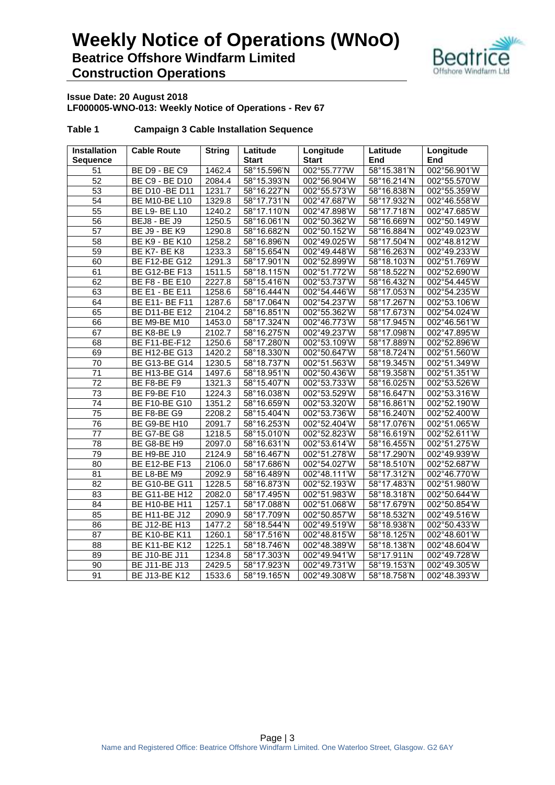

#### **Issue Date: 20 August 2018 LF000005-WNO-013: Weekly Notice of Operations - Rev 67**

| <b>Installation</b><br><b>Sequence</b> | <b>Cable Route</b>    | <b>String</b> | Latitude<br><b>Start</b>         | Longitude<br><b>Start</b> | Latitude<br><b>End</b>                 | Longitude<br>End |
|----------------------------------------|-----------------------|---------------|----------------------------------|---------------------------|----------------------------------------|------------------|
| 51                                     | BE D9 - BE C9         | 1462.4        | 58°15.596'N                      | 002°55.777W               | 58°15.381'N                            | 002°56.901'W     |
| 52                                     | <b>BE C9 - BE D10</b> | 2084.4        | 58°15.393'N                      | 002°56.904'W              | 58°16.214'N                            | 002°55.570'W     |
| 53                                     | BE D10 - BE D11       | 1231.7        | 58°16.227'N                      | 002°55.573'W              | 58°16.838'N                            | 002°55.359'W     |
| 54                                     | <b>BE M10-BE L10</b>  | 1329.8        | 58°17.731'N                      | 002°47.687'W              | 58°17.932'N                            | 002°46.558'W     |
| $\overline{55}$                        | <b>BE L9- BE L10</b>  | 1240.2        | 58°17.110'N                      | 002°47.898'W              | 58°17.718'N                            | 002°47.685'W     |
| 56                                     | <b>BEJ8 - BE J9</b>   | 1250.5        | 58°16.061'N                      | 002°50.362'W              | 58°16.669'N                            | 002°50.149'W     |
| 57                                     | <b>BE J9 - BE K9</b>  | 1290.8        | 58°16.682'N                      | 002°50.152'W              | $\overline{58}^{\circ}$ 16.884'N       | 002°49.023'W     |
| 58                                     | <b>BE K9 - BE K10</b> | 1258.2        | 58°16.896'N                      | 002°49.025'W              | 58°17.504'N                            | 002°48.812'W     |
| $\overline{59}$                        | BE K7-BE K8           | 1233.3        | 58°15.654'N                      | 002°49.448'W              | 58°16.263'N                            | 002°49.233'W     |
| 60                                     | <b>BE F12-BE G12</b>  | 1291.3        | 58°17.901'N                      | 002°52.899'W              | 58°18.103'N                            | 002°51.769'W     |
| 61                                     | <b>BE G12-BE F13</b>  | 1511.5        | 58°18.115'N                      | 002°51.772'W              | 58°18.522'N                            | 002°52.690'W     |
| 62                                     | <b>BE F8 - BE E10</b> | 2227.8        | 58°15.416'N                      | 002°53.737'W              | 58°16.432'N                            | 002°54.445'W     |
| 63                                     | <b>BE E1 - BE E11</b> | 1258.6        | 58°16.444'N                      | 002°54.446'W              | 58°17.053'N                            | 002°54.235'W     |
| 64                                     | BE E11- BE F11        | 1287.6        | 58°17.064'N                      | 002°54.237'W              | 58°17.267'N                            | 002°53.106'W     |
| 65                                     | <b>BE D11-BE E12</b>  | 2104.2        | 58°16.851'N                      | 002°55.362'W              | 58°17.673'N                            | 002°54.024'W     |
| 66                                     | BE M9-BE M10          | 1453.0        | 58°17.324'N                      | 002°46.773'W              | $\overline{58}^{\circ}$ 17.945'N       | 002°46.561'W     |
| 67                                     | BE K8-BE L9           | 2102.7        | 58°16.275'N                      | 002°49.237'W              | 58°17.098'N                            | 002°47.895'W     |
| 68                                     | BE F11-BE-F12         | 1250.6        | 58°17.280'N                      | 002°53.109'W              | 58°17.889'N                            | 002°52.896'W     |
| 69                                     | <b>BE H12-BE G13</b>  | 1420.2        | 58°18.330'N                      | 002°50.647'W              | 58°18.724'N                            | 002°51.560'W     |
| $\overline{70}$                        | <b>BE G13-BE G14</b>  | 1230.5        | 58°18.737'N                      | 002°51.563'W              | 58°19.345'N                            | 002°51.349'W     |
| 71                                     | <b>BE H13-BE G14</b>  | 1497.6        | 58°18.951'N                      | 002°50.436'W              | 58°19.358'N                            | 002°51.351'W     |
| 72                                     | BE F8-BE F9           | 1321.3        | 58°15.407'N                      | 002°53.733'W              | 58°16.025'N                            | 002°53.526'W     |
| $\overline{73}$                        | BE F9-BE F10          | 1224.3        | 58°16.038'N                      | 002°53.529'W              | 58°16.647'N                            | 002°53.316'W     |
| $\overline{74}$                        | <b>BE F10-BE G10</b>  | 1351.2        | $\overline{58}^{\circ}$ 16.659'N | 002°53.320'W              | $\frac{1}{58^{\circ}16.861^{\prime}N}$ | 002°52.190'W     |
| 75                                     | BE F8-BE G9           | 2208.2        | 58°15.404'N                      | 002°53.736'W              | 58°16.240'N                            | 002°52.400'W     |
| $\overline{76}$                        | BE G9-BE H10          | 2091.7        | 58°16.253'N                      | 002°52.404'W              | 58°17.076'N                            | 002°51.065'W     |
| $\overline{77}$                        | BE G7-BE G8           | 1218.5        | 58°15.010'N                      | 002°52.823'W              | 58°16.619'N                            | 002°52.611'W     |
| $\overline{78}$                        | BE G8-BE H9           | 2097.0        | 58°16.631'N                      | 002°53.614'W              | 58°16.455'N                            | 002°51.275'W     |
| 79                                     | <b>BE H9-BE J10</b>   | 2124.9        | 58°16.467'N                      | 002°51.278'W              | 58°17.290'N                            | 002°49.939'W     |
| 80                                     | <b>BE E12-BE F13</b>  | 2106.0        | 58°17.686'N                      | 002°54.027'W              | 58°18.510'N                            | 002°52.687'W     |
| $\overline{81}$                        | BE L8-BE M9           | 2092.9        | 58°16.489'N                      | 002°48.111'W              | 58°17.312'N                            | 002°46.770'W     |
| $\overline{82}$                        | <b>BE G10-BE G11</b>  | 1228.5        | 58°16.873'N                      | 002°52.193'W              | 58°17.483'N                            | 002°51.980'W     |
| 83                                     | <b>BE G11-BE H12</b>  | 2082.0        | 58°17.495'N                      | 002°51.983'W              | 58°18.318'N                            | 002°50.644'W     |
| $\overline{84}$                        | BE H10-BE H11         | 1257.1        | 58°17.088'N                      | 002°51.068'W              | 58°17.679'N                            | 002°50.854'W     |
| 85                                     | <b>BE H11-BE J12</b>  | 2090.9        | 58°17.709'N                      | 002°50.857'W              | 58°18.532'N                            | 002°49.516'W     |
| 86                                     | BE J12-BE H13         | 1477.2        | 58°18.544'N                      | 002°49.519'W              | 58°18.938'N                            | 002°50.433'W     |
| $\overline{87}$                        | <b>BE K10-BE K11</b>  | 1260.1        | 58°17.516'N                      | 002°48.815'W              | 58°18.125'N                            | 002°48.601'W     |
| $\overline{88}$                        | <b>BE K11-BE K12</b>  | 1225.1        | 58°18.746'N                      | 002°48.389'W              | 58°18.138'N                            | 002°48.604'W     |
| 89                                     | <b>BE J10-BE J11</b>  | 1234.8        | 58°17.303'N                      | 002°49.941'W              | $\frac{1}{58}$ °17.911N                | 002°49.728'W     |
| 90                                     | BE J11-BE J13         | 2429.5        | 58°17.923'N                      | 002°49.731'W              | 58°19.153'N                            | 002°49.305'W     |
| $\overline{91}$                        | <b>BE J13-BE K12</b>  | 1533.6        | 58°19.165'N                      | 002°49.308'W              | 58°18.758'N                            | 002°48.393'W     |

#### **Table 1 Campaign 3 Cable Installation Sequence**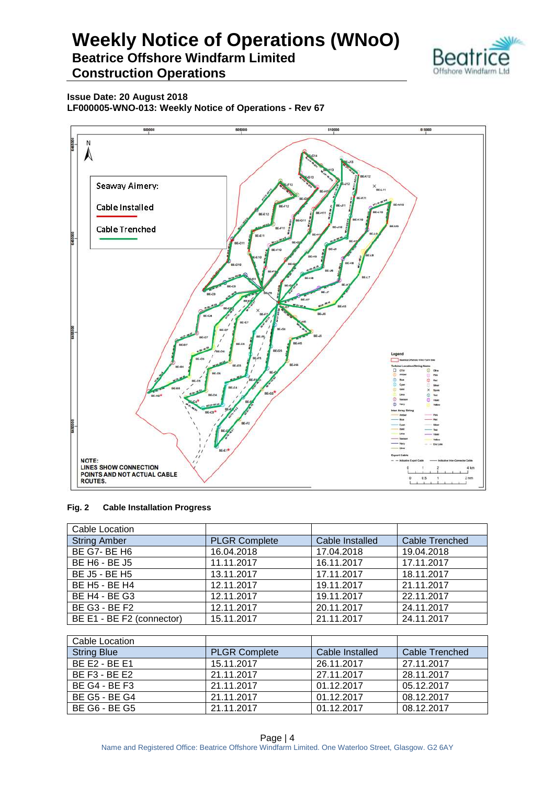



**Issue Date: 20 August 2018**

**LF000005-WNO-013: Weekly Notice of Operations - Rev 67**



#### **Fig. 2 Cable Installation Progress**

| Cable Location                        |                      |                 |                       |
|---------------------------------------|----------------------|-----------------|-----------------------|
| <b>String Amber</b>                   | <b>PLGR Complete</b> | Cable Installed | <b>Cable Trenched</b> |
| <b>BE G7-BE H6</b>                    | 16.04.2018           | 17.04.2018      | 19.04.2018            |
| <b>BE H6 - BE J5</b>                  | 11.11.2017           | 16.11.2017      | 17.11.2017            |
| BE J5 - BE H5                         | 13.11.2017           | 17.11.2017      | 18.11.2017            |
| BE H <sub>5</sub> - BE H <sub>4</sub> | 12.11.2017           | 19.11.2017      | 21.11.2017            |
| <b>BE H4 - BE G3</b>                  | 12.11.2017           | 19.11.2017      | 22.11.2017            |
| <b>BE G3 - BE F2</b>                  | 12.11.2017           | 20.11.2017      | 24.11.2017            |
| BE E1 - BE F2 (connector)             | 15.11.2017           | 21.11.2017      | 24.11.2017            |

| Cable Location       |                      |                 |                |
|----------------------|----------------------|-----------------|----------------|
| <b>String Blue</b>   | <b>PLGR Complete</b> | Cable Installed | Cable Trenched |
| <b>BE E2 - BE E1</b> | 15.11.2017           | 26.11.2017      | 27.11.2017     |
| <b>BE F3 - BE E2</b> | 21.11.2017           | 27.11.2017      | 28.11.2017     |
| <b>BE G4 - BE F3</b> | 21.11.2017           | 01.12.2017      | 05.12.2017     |
| BE G5 - BE G4        | 21.11.2017           | 01.12.2017      | 08.12.2017     |
| BE G6 - BE G5        | 21.11.2017           | 01.12.2017      | 08.12.2017     |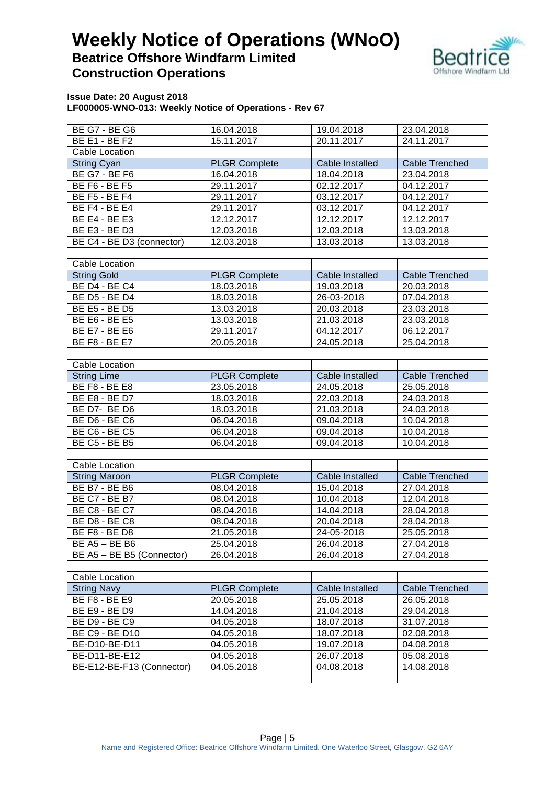## **Weekly Notice of Operations (WNoO) Beatrice Offshore Windfarm Limited**



## **Construction Operations**

| <b>BE G7 - BE G6</b>      | 16.04.2018           | 19.04.2018      | 23.04.2018            |
|---------------------------|----------------------|-----------------|-----------------------|
| <b>BE E1 - BE F2</b>      | 15.11.2017           | 20.11.2017      | 24.11.2017            |
| Cable Location            |                      |                 |                       |
| <b>String Cyan</b>        | <b>PLGR Complete</b> | Cable Installed | <b>Cable Trenched</b> |
| <b>BE G7 - BE F6</b>      | 16.04.2018           | 18.04.2018      | 23.04.2018            |
| <b>BE F6 - BE F5</b>      | 29.11.2017           | 02.12.2017      | 04.12.2017            |
| <b>BE F5 - BE F4</b>      | 29.11.2017           | 03.12.2017      | 04.12.2017            |
| <b>BE F4 - BE E4</b>      | 29.11.2017           | 03.12.2017      | 04.12.2017            |
| <b>BE E4 - BE E3</b>      | 12.12.2017           | 12.12.2017      | 12.12.2017            |
| BE E3 - BE D3             | 12.03.2018           | 12.03.2018      | 13.03.2018            |
| BE C4 - BE D3 (connector) | 12.03.2018           | 13.03.2018      | 13.03.2018            |

| Cable Location       |                      |                 |                |
|----------------------|----------------------|-----------------|----------------|
| <b>String Gold</b>   | <b>PLGR Complete</b> | Cable Installed | Cable Trenched |
| <b>BE D4 - BE C4</b> | 18.03.2018           | 19.03.2018      | 20.03.2018     |
| BE D5 - BE D4        | 18.03.2018           | 26-03-2018      | 07.04.2018     |
| BE E5 - BE D5        | 13.03.2018           | 20.03.2018      | 23.03.2018     |
| BE E6 - BE E5        | 13.03.2018           | 21.03.2018      | 23.03.2018     |
| <b>BE E7 - BE E6</b> | 29.11.2017           | 04.12.2017      | 06.12.2017     |
| <b>BE F8 - BE E7</b> | 20.05.2018           | 24.05.2018      | 25.04.2018     |

| Cable Location       |                      |                 |                |
|----------------------|----------------------|-----------------|----------------|
| <b>String Lime</b>   | <b>PLGR Complete</b> | Cable Installed | Cable Trenched |
| <b>BE F8 - BE E8</b> | 23.05.2018           | 24.05.2018      | 25.05.2018     |
| <b>BE E8 - BE D7</b> | 18.03.2018           | 22.03.2018      | 24.03.2018     |
| BE D7- BE D6         | 18.03.2018           | 21.03.2018      | 24.03.2018     |
| BE D6 - BE C6        | 06.04.2018           | 09.04.2018      | 10.04.2018     |
| <b>BE C6 - BE C5</b> | 06.04.2018           | 09.04.2018      | 10.04.2018     |
| BE C5 - BE B5        | 06.04.2018           | 09.04.2018      | 10.04.2018     |

| Cable Location            |                      |                 |                |
|---------------------------|----------------------|-----------------|----------------|
| <b>String Maroon</b>      | <b>PLGR Complete</b> | Cable Installed | Cable Trenched |
| <b>BE B7 - BE B6</b>      | 08.04.2018           | 15.04.2018      | 27.04.2018     |
| <b>BE C7 - BE B7</b>      | 08.04.2018           | 10.04.2018      | 12.04.2018     |
| <b>BE C8 - BE C7</b>      | 08.04.2018           | 14.04.2018      | 28.04.2018     |
| BE D8 - BE C8             | 08.04.2018           | 20.04.2018      | 28.04.2018     |
| BE F8 - BE D8             | 21.05.2018           | 24-05-2018      | 25.05.2018     |
| $BE$ A5 $- BE$ B6         | 25.04.2018           | 26.04.2018      | 27.04.2018     |
| BE A5 - BE B5 (Connector) | 26.04.2018           | 26.04.2018      | 27.04.2018     |

| Cable Location            |                      |                        |                |
|---------------------------|----------------------|------------------------|----------------|
| <b>String Navy</b>        | <b>PLGR Complete</b> | <b>Cable Installed</b> | Cable Trenched |
| BE F8 - BE E9             | 20.05.2018           | 25.05.2018             | 26.05.2018     |
| <b>BE E9 - BE D9</b>      | 14.04.2018           | 21.04.2018             | 29.04.2018     |
| <b>BE D9 - BE C9</b>      | 04.05.2018           | 18.07.2018             | 31.07.2018     |
| <b>BE C9 - BE D10</b>     | 04.05.2018           | 18.07.2018             | 02.08.2018     |
| BE-D10-BE-D11             | 04.05.2018           | 19.07.2018             | 04.08.2018     |
| BE-D11-BE-E12             | 04.05.2018           | 26.07.2018             | 05.08.2018     |
| BE-E12-BE-F13 (Connector) | 04.05.2018           | 04.08.2018             | 14.08.2018     |
|                           |                      |                        |                |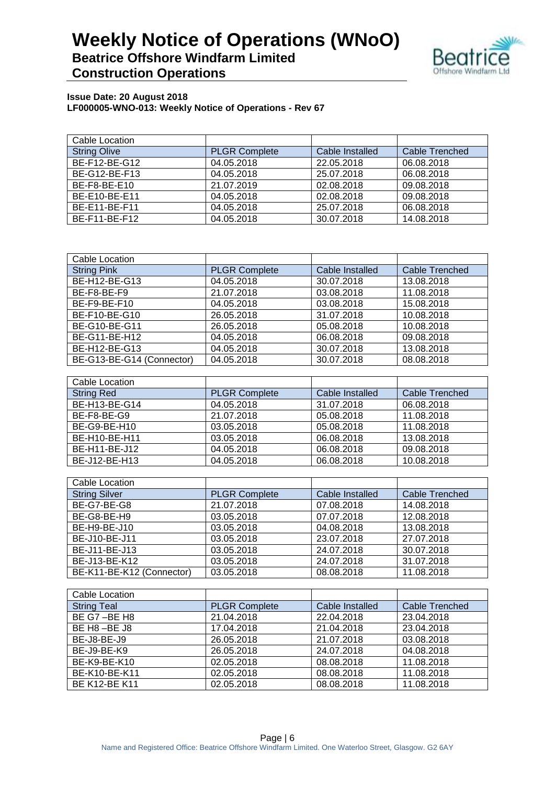## **Weekly Notice of Operations (WNoO) Beatrice Offshore Windfarm Limited**



## **Construction Operations**

| Cable Location      |                      |                 |                |
|---------------------|----------------------|-----------------|----------------|
| <b>String Olive</b> | <b>PLGR Complete</b> | Cable Installed | Cable Trenched |
| BE-F12-BE-G12       | 04.05.2018           | 22.05.2018      | 06.08.2018     |
| BE-G12-BE-F13       | 04.05.2018           | 25.07.2018      | 06.08.2018     |
| BE-F8-BE-E10        | 21.07.2019           | 02.08.2018      | 09.08.2018     |
| BE-E10-BE-E11       | 04.05.2018           | 02.08.2018      | 09.08.2018     |
| BE-E11-BE-F11       | 04.05.2018           | 25.07.2018      | 06.08.2018     |
| BE-F11-BE-F12       | 04.05.2018           | 30.07.2018      | 14.08.2018     |

| Cable Location            |                      |                 |                       |
|---------------------------|----------------------|-----------------|-----------------------|
| <b>String Pink</b>        | <b>PLGR Complete</b> | Cable Installed | <b>Cable Trenched</b> |
| BE-H12-BE-G13             | 04.05.2018           | 30.07.2018      | 13.08.2018            |
| BE-F8-BE-F9               | 21.07.2018           | 03.08.2018      | 11.08.2018            |
| BE-F9-BE-F10              | 04.05.2018           | 03.08.2018      | 15.08.2018            |
| BE-F10-BE-G10             | 26.05.2018           | 31.07.2018      | 10.08.2018            |
| BE-G10-BE-G11             | 26.05.2018           | 05.08.2018      | 10.08.2018            |
| BE-G11-BE-H12             | 04.05.2018           | 06.08.2018      | 09.08.2018            |
| BE-H12-BE-G13             | 04.05.2018           | 30.07.2018      | 13.08.2018            |
| BE-G13-BE-G14 (Connector) | 04.05.2018           | 30.07.2018      | 08.08.2018            |

| Cable Location    |                      |                 |                |
|-------------------|----------------------|-----------------|----------------|
| <b>String Red</b> | <b>PLGR Complete</b> | Cable Installed | Cable Trenched |
| BE-H13-BE-G14     | 04.05.2018           | 31.07.2018      | 06.08.2018     |
| BE-F8-BE-G9       | 21.07.2018           | 05.08.2018      | 11.08.2018     |
| BE-G9-BE-H10      | 03.05.2018           | 05.08.2018      | 11.08.2018     |
| BE-H10-BE-H11     | 03.05.2018           | 06.08.2018      | 13.08.2018     |
| BE-H11-BE-J12     | 04.05.2018           | 06.08.2018      | 09.08.2018     |
| BE-J12-BE-H13     | 04.05.2018           | 06.08.2018      | 10.08.2018     |

| Cable Location            |                      |                 |                |
|---------------------------|----------------------|-----------------|----------------|
| <b>String Silver</b>      | <b>PLGR Complete</b> | Cable Installed | Cable Trenched |
| BE-G7-BE-G8               | 21.07.2018           | 07.08.2018      | 14.08.2018     |
| BE-G8-BE-H9               | 03.05.2018           | 07.07.2018      | 12.08.2018     |
| BE-H9-BE-J10              | 03.05.2018           | 04.08.2018      | 13.08.2018     |
| BE-J10-BE-J11             | 03.05.2018           | 23.07.2018      | 27.07.2018     |
| BE-J11-BE-J13             | 03.05.2018           | 24.07.2018      | 30.07.2018     |
| BE-J13-BE-K12             | 03.05.2018           | 24.07.2018      | 31.07.2018     |
| BE-K11-BE-K12 (Connector) | 03.05.2018           | 08.08.2018      | 11.08.2018     |

| Cable Location       |                      |                 |                |
|----------------------|----------------------|-----------------|----------------|
| <b>String Teal</b>   | <b>PLGR Complete</b> | Cable Installed | Cable Trenched |
| BE G7-BE H8          | 21.04.2018           | 22.04.2018      | 23.04.2018     |
| BE H8-BE J8          | 17.04.2018           | 21.04.2018      | 23.04.2018     |
| BE-J8-BE-J9          | 26.05.2018           | 21.07.2018      | 03.08.2018     |
| BE-J9-BE-K9          | 26.05.2018           | 24.07.2018      | 04.08.2018     |
| BE-K9-BE-K10         | 02.05.2018           | 08.08.2018      | 11.08.2018     |
| BE-K10-BE-K11        | 02.05.2018           | 08.08.2018      | 11.08.2018     |
| <b>BE K12-BE K11</b> | 02.05.2018           | 08.08.2018      | 11.08.2018     |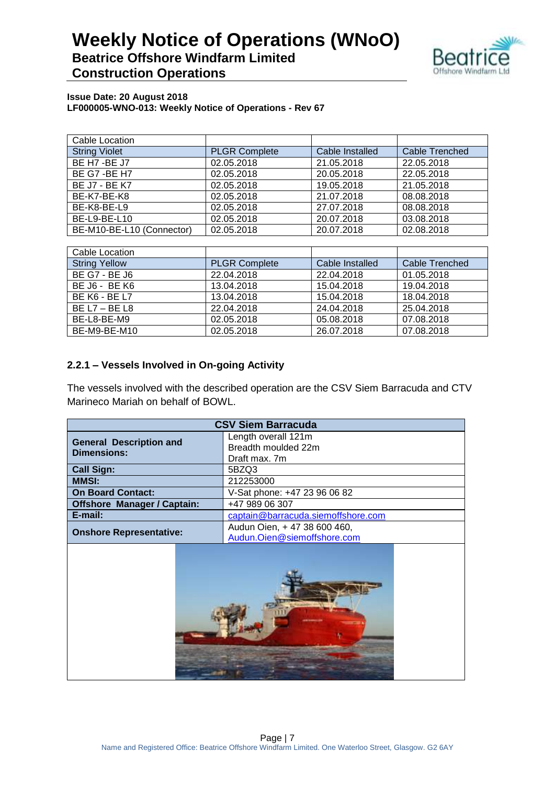

#### **Issue Date: 20 August 2018 LF000005-WNO-013: Weekly Notice of Operations - Rev 67**

| Cable Location            |                      |                 |                |
|---------------------------|----------------------|-----------------|----------------|
| <b>String Violet</b>      | <b>PLGR Complete</b> | Cable Installed | Cable Trenched |
| BE H7 -BE J7              | 02.05.2018           | 21.05.2018      | 22.05.2018     |
| BE G7 - BE H7             | 02.05.2018           | 20.05.2018      | 22.05.2018     |
| <b>BE J7 - BE K7</b>      | 02.05.2018           | 19.05.2018      | 21.05.2018     |
| BE-K7-BE-K8               | 02.05.2018           | 21.07.2018      | 08.08.2018     |
| BE-K8-BE-L9               | 02.05.2018           | 27.07.2018      | 08.08.2018     |
| BE-L9-BE-L10              | 02.05.2018           | 20.07.2018      | 03.08.2018     |
| BE-M10-BE-L10 (Connector) | 02.05.2018           | 20.07.2018      | 02.08.2018     |

| Cable Location       |                      |                 |                |
|----------------------|----------------------|-----------------|----------------|
| <b>String Yellow</b> | <b>PLGR Complete</b> | Cable Installed | Cable Trenched |
| BE G7 - BE J6        | 22.04.2018           | 22.04.2018      | 01.05.2018     |
| BE J6 - BE K6        | 13.04.2018           | 15.04.2018      | 19.04.2018     |
| <b>BE K6 - BE L7</b> | 13.04.2018           | 15.04.2018      | 18.04.2018     |
| BE $L7 - BE L8$      | 22.04.2018           | 24.04.2018      | 25.04.2018     |
| BE-L8-BE-M9          | 02.05.2018           | 05.08.2018      | 07.08.2018     |
| BE-M9-BE-M10         | 02.05.2018           | 26.07.2018      | 07.08.2018     |

## **2.2.1 – Vessels Involved in On-going Activity**

The vessels involved with the described operation are the CSV Siem Barracuda and CTV Marineco Mariah on behalf of BOWL.

| <b>CSV Siem Barracuda</b>                                     |                              |  |
|---------------------------------------------------------------|------------------------------|--|
| <b>General Description and</b>                                | Length overall 121m          |  |
| <b>Dimensions:</b>                                            | Breadth moulded 22m          |  |
|                                                               | Draft max. 7m                |  |
| <b>Call Sign:</b>                                             | 5BZQ3                        |  |
| <b>MMSI:</b>                                                  | 212253000                    |  |
| <b>On Board Contact:</b>                                      | V-Sat phone: +47 23 96 06 82 |  |
| <b>Offshore Manager / Captain:</b>                            | +47 989 06 307               |  |
| E-mail:<br>captain@barracuda.siemoffshore.com                 |                              |  |
|                                                               | Audun Oien, +47 38 600 460,  |  |
| <b>Onshore Representative:</b><br>Audun.Oien@siemoffshore.com |                              |  |
|                                                               |                              |  |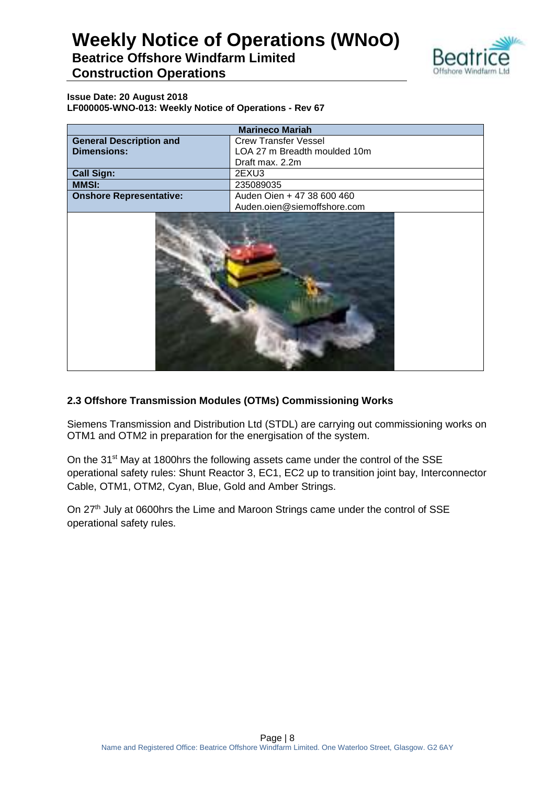

## **Beatrice Offshore Windfarm Limited Construction Operations**

**Issue Date: 20 August 2018 LF000005-WNO-013: Weekly Notice of Operations - Rev 67**

|                                | <b>Marineco Mariah</b>       |
|--------------------------------|------------------------------|
| <b>General Description and</b> | <b>Crew Transfer Vessel</b>  |
| <b>Dimensions:</b>             | LOA 27 m Breadth moulded 10m |
|                                | Draft max. 2.2m              |
| <b>Call Sign:</b>              | 2EXU3                        |
| <b>MMSI:</b>                   | 235089035                    |
| <b>Onshore Representative:</b> | Auden Oien + 47 38 600 460   |
|                                | Auden.oien@siemoffshore.com  |
|                                |                              |

## **2.3 Offshore Transmission Modules (OTMs) Commissioning Works**

Siemens Transmission and Distribution Ltd (STDL) are carrying out commissioning works on OTM1 and OTM2 in preparation for the energisation of the system.

On the 31<sup>st</sup> May at 1800hrs the following assets came under the control of the SSE operational safety rules: Shunt Reactor 3, EC1, EC2 up to transition joint bay, Interconnector Cable, OTM1, OTM2, Cyan, Blue, Gold and Amber Strings.

On 27<sup>th</sup> July at 0600hrs the Lime and Maroon Strings came under the control of SSE operational safety rules.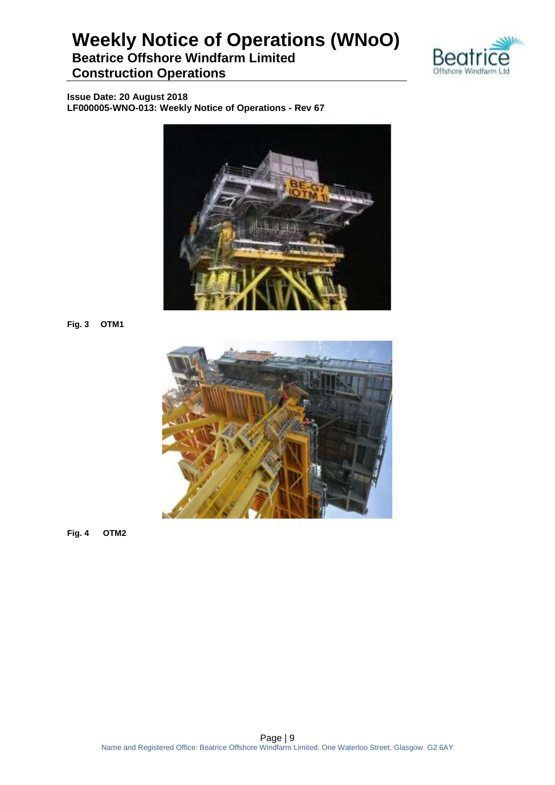**Beatrice Offshore Windfarm Limited Construction Operations**



**Issue Date: 20 August 2018 LF000005-WNO-013: Weekly Notice of Operations - Rev 67**



**Fig. 3 OTM1**



**Fig. 4 OTM2**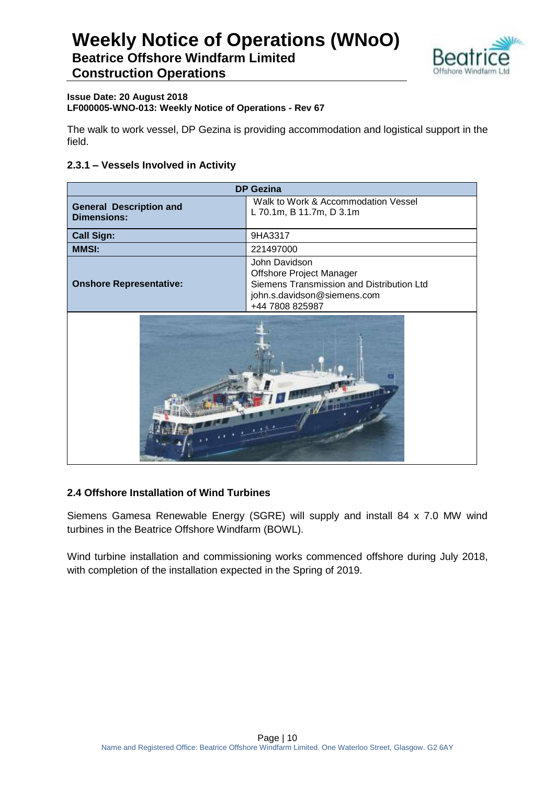

#### **Issue Date: 20 August 2018 LF000005-WNO-013: Weekly Notice of Operations - Rev 67**

The walk to work vessel, DP Gezina is providing accommodation and logistical support in the field.

## **2.3.1 – Vessels Involved in Activity**

|                                                      | <b>DP Gezina</b>                                                                                                                         |
|------------------------------------------------------|------------------------------------------------------------------------------------------------------------------------------------------|
| <b>General Description and</b><br><b>Dimensions:</b> | Walk to Work & Accommodation Vessel<br>L 70.1m, B 11.7m, D 3.1m                                                                          |
| <b>Call Sign:</b>                                    | 9HA3317                                                                                                                                  |
| <b>MMSI:</b>                                         | 221497000                                                                                                                                |
| <b>Onshore Representative:</b>                       | John Davidson<br>Offshore Project Manager<br>Siemens Transmission and Distribution Ltd<br>john.s.davidson@siemens.com<br>+44 7808 825987 |
|                                                      |                                                                                                                                          |

### **2.4 Offshore Installation of Wind Turbines**

Siemens Gamesa Renewable Energy (SGRE) will supply and install 84 x 7.0 MW wind turbines in the Beatrice Offshore Windfarm (BOWL).

Wind turbine installation and commissioning works commenced offshore during July 2018, with completion of the installation expected in the Spring of 2019.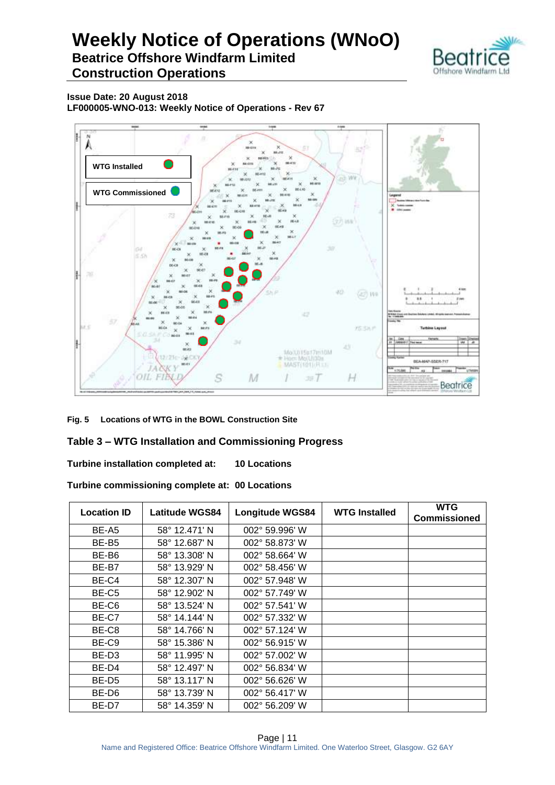## **Weekly Notice of Operations (WNoO) Beatrice Offshore Windfarm Limited**



**Construction Operations**

**Issue Date: 20 August 2018 LF000005-WNO-013: Weekly Notice of Operations - Rev 67**



**Fig. 5 Locations of WTG in the BOWL Construction Site**

### **Table 3 – WTG Installation and Commissioning Progress**

**Turbine installation completed at: 10 Locations**

**Turbine commissioning complete at: 00 Locations**

| <b>Location ID</b> | <b>Latitude WGS84</b> | <b>Longitude WGS84</b>  | <b>WTG Installed</b> | <b>WTG</b><br><b>Commissioned</b> |
|--------------------|-----------------------|-------------------------|----------------------|-----------------------------------|
| BE-A5              | 58° 12.471' N         | $002^{\circ}$ 59.996' W |                      |                                   |
| BE-B <sub>5</sub>  | 58° 12.687' N         | 002° 58.873' W          |                      |                                   |
| BE-B6              | 58° 13.308' N         | 002° 58.664' W          |                      |                                   |
| BE-B7              | 58° 13.929' N         | 002° 58.456' W          |                      |                                   |
| BE-C4              | 58° 12.307' N         | 002° 57.948' W          |                      |                                   |
| BE-C5              | 58° 12.902' N         | 002° 57.749' W          |                      |                                   |
| BE-C6              | 58° 13.524' N         | 002° 57.541' W          |                      |                                   |
| BE-C7              | 58° 14.144' N         | 002° 57.332' W          |                      |                                   |
| BE-C8              | 58° 14.766' N         | 002° 57.124' W          |                      |                                   |
| BE-C9              | 58° 15.386' N         | 002° 56.915' W          |                      |                                   |
| BE-D <sub>3</sub>  | 58° 11.995' N         | 002° 57.002' W          |                      |                                   |
| BE-D4              | 58° 12.497' N         | 002° 56.834' W          |                      |                                   |
| BE-D5              | 58° 13.117' N         | 002° 56.626' W          |                      |                                   |
| BE-D6              | 58° 13.739' N         | 002° 56.417' W          |                      |                                   |
| BE-D7              | 58° 14.359' N         | 002° 56.209' W          |                      |                                   |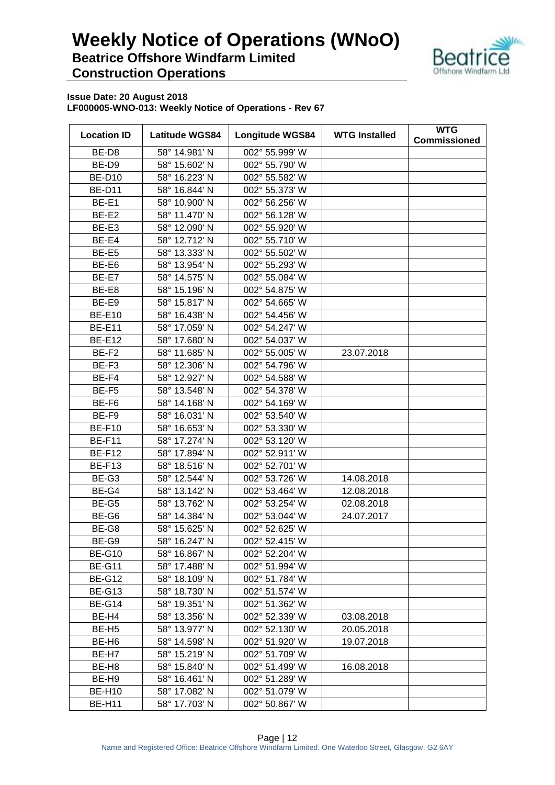

| <b>Location ID</b> | <b>Latitude WGS84</b> | <b>Longitude WGS84</b> | <b>WTG Installed</b> | <b>WTG</b><br><b>Commissioned</b> |
|--------------------|-----------------------|------------------------|----------------------|-----------------------------------|
| BE-D8              | 58° 14.981' N         | 002° 55.999' W         |                      |                                   |
| BE-D9              | 58° 15.602' N         | 002° 55.790' W         |                      |                                   |
| <b>BE-D10</b>      | 58° 16.223' N         | 002° 55.582' W         |                      |                                   |
| <b>BE-D11</b>      | 58° 16.844' N         | 002° 55.373' W         |                      |                                   |
| BE-E1              | 58° 10.900' N         | 002° 56.256' W         |                      |                                   |
| BE-E2              | 58° 11.470' N         | 002° 56.128' W         |                      |                                   |
| BE-E3              | 58° 12.090' N         | 002° 55.920' W         |                      |                                   |
| BE-E4              | 58° 12.712' N         | 002° 55.710' W         |                      |                                   |
| BE-E5              | 58° 13.333' N         | 002° 55.502' W         |                      |                                   |
| BE-E6              | 58° 13.954' N         | 002° 55.293' W         |                      |                                   |
| BE-E7              | 58° 14.575' N         | 002° 55.084' W         |                      |                                   |
| BE-E8              | 58° 15.196' N         | 002° 54.875' W         |                      |                                   |
| BE-E9              | 58° 15.817' N         | 002° 54.665' W         |                      |                                   |
| <b>BE-E10</b>      | 58° 16.438' N         | 002° 54.456' W         |                      |                                   |
| <b>BE-E11</b>      | 58° 17.059' N         | 002° 54.247' W         |                      |                                   |
| <b>BE-E12</b>      | 58° 17.680' N         | 002° 54.037' W         |                      |                                   |
| BE-F <sub>2</sub>  | 58° 11.685' N         | 002° 55.005' W         | 23.07.2018           |                                   |
| BE-F <sub>3</sub>  | 58° 12.306' N         | 002° 54.796' W         |                      |                                   |
| BE-F4              | 58° 12.927' N         | 002° 54.588' W         |                      |                                   |
| BE-F5              | 58° 13.548' N         | 002° 54.378' W         |                      |                                   |
| BE-F6              | 58° 14.168' N         | 002° 54.169' W         |                      |                                   |
| BE-F9              | 58° 16.031' N         | 002° 53.540' W         |                      |                                   |
| <b>BE-F10</b>      | 58° 16.653' N         | 002° 53.330' W         |                      |                                   |
| <b>BE-F11</b>      | 58° 17.274' N         | 002° 53.120' W         |                      |                                   |
| <b>BE-F12</b>      | 58° 17.894' N         | 002° 52.911' W         |                      |                                   |
| <b>BE-F13</b>      | 58° 18.516' N         | 002° 52.701' W         |                      |                                   |
| BE-G3              | 58° 12.544' N         | 002° 53.726' W         | 14.08.2018           |                                   |
| BE-G4              | 58° 13.142' N         | 002° 53.464' W         | 12.08.2018           |                                   |
| BE-G5              | 58° 13.762' N         | 002° 53.254' W         | 02.08.2018           |                                   |
| BE-G6              | 58° 14.384' N         | 002° 53.044' W         | 24.07.2017           |                                   |
| BE-G8              | 58° 15.625' N         | 002° 52.625' W         |                      |                                   |
| BE-G9              | 58° 16.247' N         | 002° 52.415' W         |                      |                                   |
| <b>BE-G10</b>      | 58° 16.867' N         | 002° 52.204' W         |                      |                                   |
| <b>BE-G11</b>      | 58° 17.488' N         | 002° 51.994' W         |                      |                                   |
| <b>BE-G12</b>      | 58° 18.109' N         | 002° 51.784' W         |                      |                                   |
| <b>BE-G13</b>      | 58° 18.730' N         | 002° 51.574' W         |                      |                                   |
| <b>BE-G14</b>      | 58° 19.351' N         | 002° 51.362' W         |                      |                                   |
| BE-H4              | 58° 13.356' N         | 002° 52.339' W         | 03.08.2018           |                                   |
| BE-H <sub>5</sub>  | 58° 13.977' N         | 002° 52.130' W         | 20.05.2018           |                                   |
| BE-H <sub>6</sub>  | 58° 14.598' N         | 002° 51.920' W         | 19.07.2018           |                                   |
| BE-H7              | 58° 15.219' N         | 002° 51.709' W         |                      |                                   |
| BE-H8              | 58° 15.840' N         | 002° 51.499' W         | 16.08.2018           |                                   |
| BE-H9              | 58° 16.461' N         | 002° 51.289' W         |                      |                                   |
| <b>BE-H10</b>      | 58° 17.082' N         | 002° 51.079' W         |                      |                                   |
| <b>BE-H11</b>      | 58° 17.703' N         | 002° 50.867' W         |                      |                                   |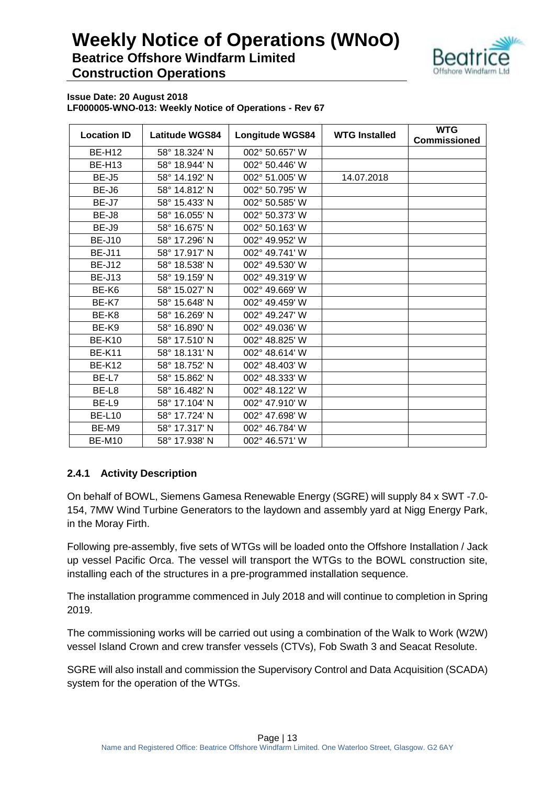

**Issue Date: 20 August 2018 LF000005-WNO-013: Weekly Notice of Operations - Rev 67**

| <b>Location ID</b> | <b>Latitude WGS84</b> | <b>Longitude WGS84</b> | <b>WTG Installed</b> | <b>WTG</b><br><b>Commissioned</b> |
|--------------------|-----------------------|------------------------|----------------------|-----------------------------------|
| <b>BE-H12</b>      | 58° 18.324' N         | 002° 50.657' W         |                      |                                   |
| <b>BE-H13</b>      | 58° 18.944' N         | 002° 50.446' W         |                      |                                   |
| BE-J5              | 58° 14.192' N         | 002° 51.005' W         | 14.07.2018           |                                   |
| BE-J6              | 58° 14.812' N         | 002° 50.795' W         |                      |                                   |
| BE-J7              | 58° 15.433' N         | 002° 50.585' W         |                      |                                   |
| BE-J8              | 58° 16.055' N         | 002° 50.373' W         |                      |                                   |
| BE-J9              | 58° 16.675' N         | 002° 50.163' W         |                      |                                   |
| <b>BE-J10</b>      | 58° 17.296' N         | 002° 49.952' W         |                      |                                   |
| <b>BE-J11</b>      | 58° 17.917' N         | 002° 49.741' W         |                      |                                   |
| <b>BE-J12</b>      | 58° 18.538' N         | 002° 49.530' W         |                      |                                   |
| <b>BE-J13</b>      | 58° 19.159' N         | 002° 49.319' W         |                      |                                   |
| BE-K6              | 58° 15.027' N         | 002° 49.669' W         |                      |                                   |
| BE-K7              | 58° 15.648' N         | 002° 49.459' W         |                      |                                   |
| BE-K8              | 58° 16.269' N         | 002° 49.247' W         |                      |                                   |
| BE-K9              | 58° 16.890' N         | 002° 49.036' W         |                      |                                   |
| <b>BE-K10</b>      | 58° 17.510' N         | 002° 48.825' W         |                      |                                   |
| <b>BE-K11</b>      | 58° 18.131' N         | 002° 48.614' W         |                      |                                   |
| <b>BE-K12</b>      | 58° 18.752' N         | 002° 48.403' W         |                      |                                   |
| BE-L7              | 58° 15.862' N         | 002° 48.333' W         |                      |                                   |
| BE-L8              | 58° 16.482' N         | 002° 48.122' W         |                      |                                   |
| BE-L9              | 58° 17.104' N         | 002° 47.910' W         |                      |                                   |
| <b>BE-L10</b>      | 58° 17.724' N         | 002° 47.698' W         |                      |                                   |
| BE-M9              | 58° 17.317' N         | 002° 46.784' W         |                      |                                   |
| <b>BE-M10</b>      | 58° 17.938' N         | 002° 46.571' W         |                      |                                   |

## **2.4.1 Activity Description**

On behalf of BOWL, Siemens Gamesa Renewable Energy (SGRE) will supply 84 x SWT -7.0- 154, 7MW Wind Turbine Generators to the laydown and assembly yard at Nigg Energy Park, in the Moray Firth.

Following pre-assembly, five sets of WTGs will be loaded onto the Offshore Installation / Jack up vessel Pacific Orca. The vessel will transport the WTGs to the BOWL construction site, installing each of the structures in a pre-programmed installation sequence.

The installation programme commenced in July 2018 and will continue to completion in Spring 2019.

The commissioning works will be carried out using a combination of the Walk to Work (W2W) vessel Island Crown and crew transfer vessels (CTVs), Fob Swath 3 and Seacat Resolute.

SGRE will also install and commission the Supervisory Control and Data Acquisition (SCADA) system for the operation of the WTGs.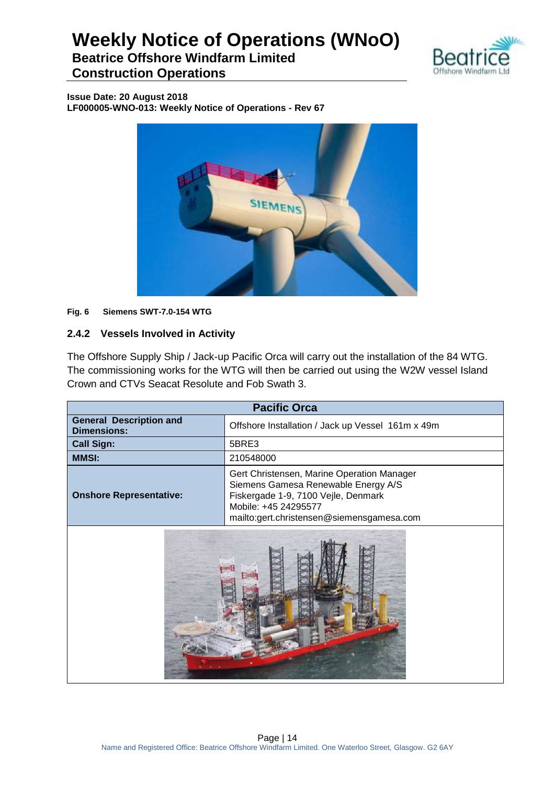

**Beatrice Offshore Windfarm Limited Construction Operations**

**Issue Date: 20 August 2018 LF000005-WNO-013: Weekly Notice of Operations - Rev 67**



#### **Fig. 6 Siemens SWT-7.0-154 WTG**

## **2.4.2 Vessels Involved in Activity**

The Offshore Supply Ship / Jack-up Pacific Orca will carry out the installation of the 84 WTG. The commissioning works for the WTG will then be carried out using the W2W vessel Island Crown and CTVs Seacat Resolute and Fob Swath 3.

| <b>Pacific Orca</b>                                                                                                                                                                                                             |                                                   |  |
|---------------------------------------------------------------------------------------------------------------------------------------------------------------------------------------------------------------------------------|---------------------------------------------------|--|
| <b>General Description and</b><br><b>Dimensions:</b>                                                                                                                                                                            | Offshore Installation / Jack up Vessel 161m x 49m |  |
| <b>Call Sign:</b>                                                                                                                                                                                                               | 5BRE3                                             |  |
| <b>MMSI:</b>                                                                                                                                                                                                                    | 210548000                                         |  |
| Gert Christensen, Marine Operation Manager<br>Siemens Gamesa Renewable Energy A/S<br>Fiskergade 1-9, 7100 Vejle, Denmark<br><b>Onshore Representative:</b><br>Mobile: +45 24295577<br>mailto:gert.christensen@siemensgamesa.com |                                                   |  |
|                                                                                                                                                                                                                                 |                                                   |  |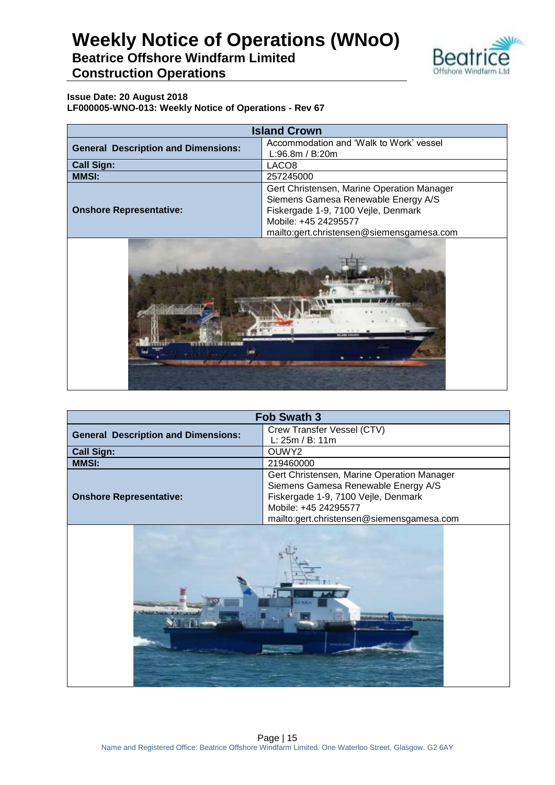

**Beatrice Offshore Windfarm Limited Construction Operations**

| <b>Island Crown</b>                        |                                                                                                                                                                                               |  |
|--------------------------------------------|-----------------------------------------------------------------------------------------------------------------------------------------------------------------------------------------------|--|
| <b>General Description and Dimensions:</b> | Accommodation and 'Walk to Work' vessel<br>L:96.8m / B:20m                                                                                                                                    |  |
| <b>Call Sign:</b>                          | LACO <sub>8</sub>                                                                                                                                                                             |  |
| <b>MMSI:</b>                               | 257245000                                                                                                                                                                                     |  |
| <b>Onshore Representative:</b>             | Gert Christensen, Marine Operation Manager<br>Siemens Gamesa Renewable Energy A/S<br>Fiskergade 1-9, 7100 Vejle, Denmark<br>Mobile: +45 24295577<br>mailto:gert.christensen@siemensgamesa.com |  |



| <b>Fob Swath 3</b>                         |                                            |  |  |  |  |
|--------------------------------------------|--------------------------------------------|--|--|--|--|
| <b>General Description and Dimensions:</b> | Crew Transfer Vessel (CTV)                 |  |  |  |  |
|                                            | L: 25m / B: 11m                            |  |  |  |  |
| <b>Call Sign:</b>                          | OUWY2                                      |  |  |  |  |
| <b>MMSI:</b>                               | 219460000                                  |  |  |  |  |
|                                            | Gert Christensen, Marine Operation Manager |  |  |  |  |
|                                            | Siemens Gamesa Renewable Energy A/S        |  |  |  |  |
| <b>Onshore Representative:</b>             | Fiskergade 1-9, 7100 Vejle, Denmark        |  |  |  |  |
|                                            | Mobile: +45 24295577                       |  |  |  |  |
|                                            | mailto:gert.christensen@siemensgamesa.com  |  |  |  |  |
|                                            |                                            |  |  |  |  |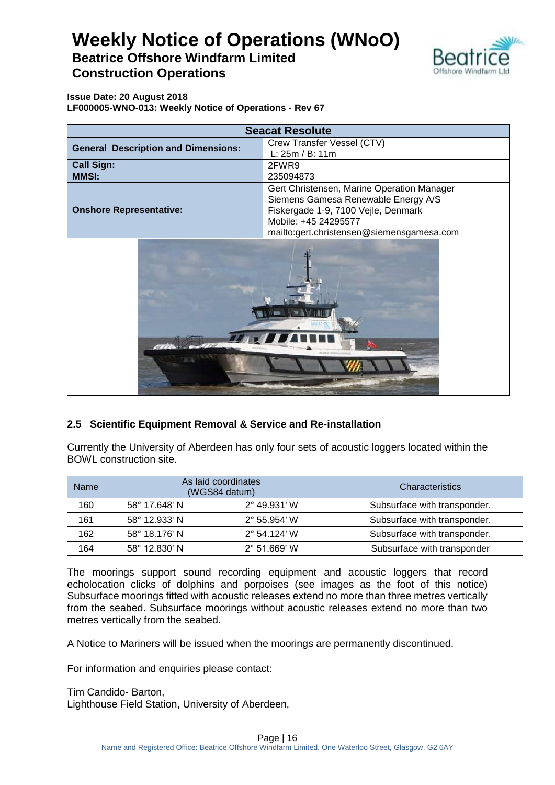

**Beatrice Offshore Windfarm Limited Construction Operations**

**Issue Date: 20 August 2018 LF000005-WNO-013: Weekly Notice of Operations - Rev 67**

| <b>Seacat Resolute</b>                     |                                            |  |  |  |  |
|--------------------------------------------|--------------------------------------------|--|--|--|--|
| <b>General Description and Dimensions:</b> | Crew Transfer Vessel (CTV)                 |  |  |  |  |
|                                            | L: 25m / B: 11m                            |  |  |  |  |
| <b>Call Sign:</b>                          | 2FWR9                                      |  |  |  |  |
| <b>MMSI:</b>                               | 235094873                                  |  |  |  |  |
|                                            | Gert Christensen, Marine Operation Manager |  |  |  |  |
|                                            | Siemens Gamesa Renewable Energy A/S        |  |  |  |  |
| <b>Onshore Representative:</b>             | Fiskergade 1-9, 7100 Vejle, Denmark        |  |  |  |  |
|                                            | Mobile: +45 24295577                       |  |  |  |  |
|                                            | mailto:gert.christensen@siemensgamesa.com  |  |  |  |  |
|                                            | L. 11 BER                                  |  |  |  |  |

## **2.5 Scientific Equipment Removal & Service and Re-installation**

Currently the University of Aberdeen has only four sets of acoustic loggers located within the BOWL construction site.

| <b>Name</b> |               | As laid coordinates<br>(WGS84 datum) | <b>Characteristics</b>       |
|-------------|---------------|--------------------------------------|------------------------------|
| 160         | 58° 17.648' N | $2^{\circ}$ 49.931' W                | Subsurface with transponder. |
| 161         | 58° 12.933' N | $2^{\circ}$ 55.954' W                | Subsurface with transponder. |
| 162         | 58° 18.176' N | $2^{\circ}$ 54.124' W                | Subsurface with transponder. |
| 164         | 58° 12.830' N | $2^{\circ}$ 51.669' W                | Subsurface with transponder  |

The moorings support sound recording equipment and acoustic loggers that record echolocation clicks of dolphins and porpoises (see images as the foot of this notice) Subsurface moorings fitted with acoustic releases extend no more than three metres vertically from the seabed. Subsurface moorings without acoustic releases extend no more than two metres vertically from the seabed.

A Notice to Mariners will be issued when the moorings are permanently discontinued.

For information and enquiries please contact:

Tim Candido- Barton, Lighthouse Field Station, University of Aberdeen,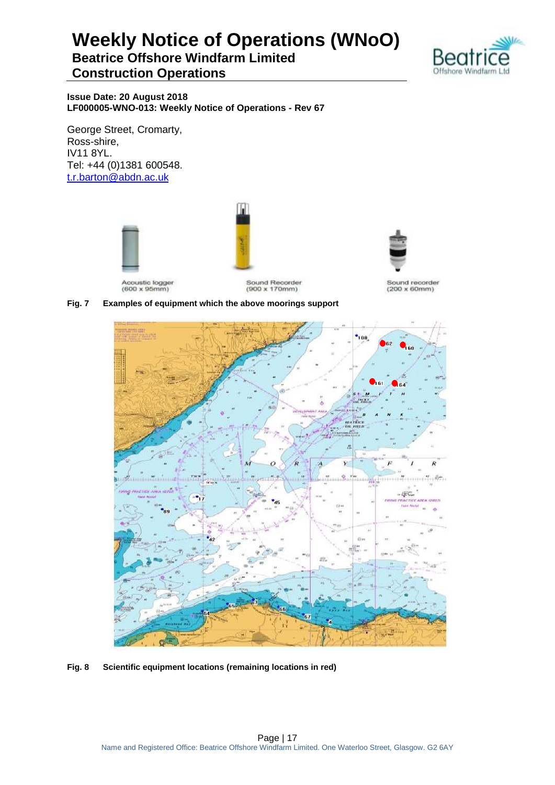**Beatrice Offshore Windfarm Limited Construction Operations**



**Issue Date: 20 August 2018 LF000005-WNO-013: Weekly Notice of Operations - Rev 67**

George Street, Cromarty, Ross-shire, IV11 8YL. Tel: +44 (0)1381 600548. [t.r.barton@abdn.ac.uk](mailto:t.r.barton@abdn.ac.uk)





Acoustic logger<br>(600 x 95mm)

Sound Recorder  $(900 \times 170$ mm)

Sound recorder  $(200 \times 60$ mm)



**Fig. 8 Scientific equipment locations (remaining locations in red)**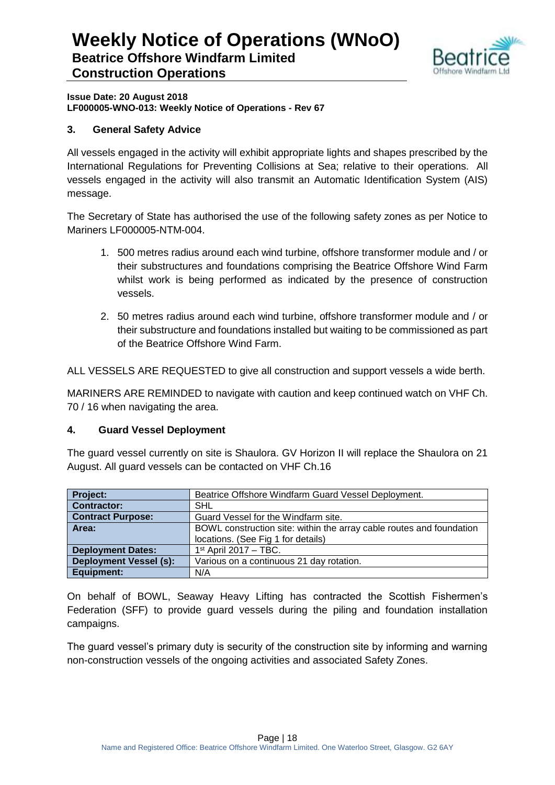

**Issue Date: 20 August 2018 LF000005-WNO-013: Weekly Notice of Operations - Rev 67**

## **3. General Safety Advice**

All vessels engaged in the activity will exhibit appropriate lights and shapes prescribed by the International Regulations for Preventing Collisions at Sea; relative to their operations. All vessels engaged in the activity will also transmit an Automatic Identification System (AIS) message.

The Secretary of State has authorised the use of the following safety zones as per Notice to Mariners LF000005-NTM-004.

- 1. 500 metres radius around each wind turbine, offshore transformer module and / or their substructures and foundations comprising the Beatrice Offshore Wind Farm whilst work is being performed as indicated by the presence of construction vessels.
- 2. 50 metres radius around each wind turbine, offshore transformer module and / or their substructure and foundations installed but waiting to be commissioned as part of the Beatrice Offshore Wind Farm.

ALL VESSELS ARE REQUESTED to give all construction and support vessels a wide berth.

MARINERS ARE REMINDED to navigate with caution and keep continued watch on VHF Ch. 70 / 16 when navigating the area.

### **4. Guard Vessel Deployment**

The guard vessel currently on site is Shaulora. GV Horizon II will replace the Shaulora on 21 August. All guard vessels can be contacted on VHF Ch.16

| <b>Project:</b>               | Beatrice Offshore Windfarm Guard Vessel Deployment.                  |
|-------------------------------|----------------------------------------------------------------------|
| <b>Contractor:</b>            | SHL                                                                  |
| <b>Contract Purpose:</b>      | Guard Vessel for the Windfarm site.                                  |
| Area:                         | BOWL construction site: within the array cable routes and foundation |
|                               | locations. (See Fig 1 for details)                                   |
| <b>Deployment Dates:</b>      | $1st$ April 2017 - TBC.                                              |
| <b>Deployment Vessel (s):</b> | Various on a continuous 21 day rotation.                             |
| Equipment:                    | N/A                                                                  |

On behalf of BOWL, Seaway Heavy Lifting has contracted the Scottish Fishermen's Federation (SFF) to provide guard vessels during the piling and foundation installation campaigns.

The guard vessel's primary duty is security of the construction site by informing and warning non-construction vessels of the ongoing activities and associated Safety Zones.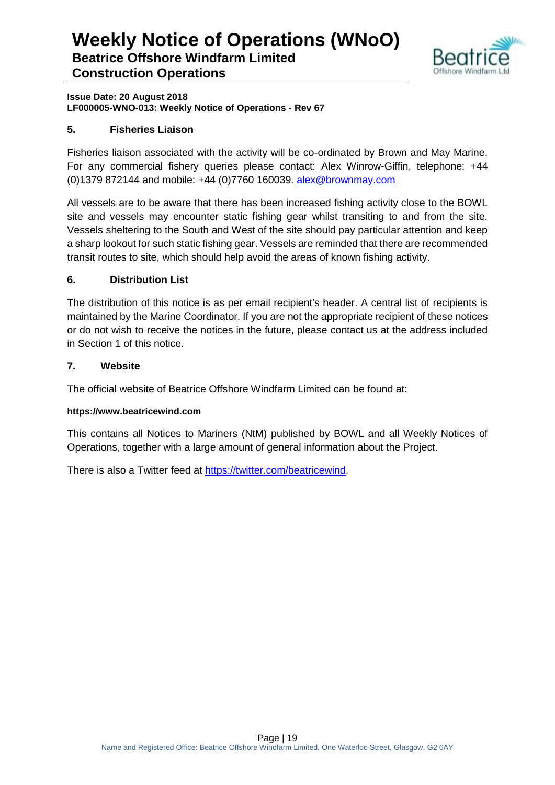

**Issue Date: 20 August 2018 LF000005-WNO-013: Weekly Notice of Operations - Rev 67**

## **5. Fisheries Liaison**

Fisheries liaison associated with the activity will be co-ordinated by Brown and May Marine. For any commercial fishery queries please contact: Alex Winrow-Giffin, telephone: +44 (0)1379 872144 and mobile: +44 (0)7760 160039. [alex@brownmay.com](mailto:alex@brownmay.com)

All vessels are to be aware that there has been increased fishing activity close to the BOWL site and vessels may encounter static fishing gear whilst transiting to and from the site. Vessels sheltering to the South and West of the site should pay particular attention and keep a sharp lookout for such static fishing gear. Vessels are reminded that there are recommended transit routes to site, which should help avoid the areas of known fishing activity.

## **6. Distribution List**

The distribution of this notice is as per email recipient's header. A central list of recipients is maintained by the Marine Coordinator. If you are not the appropriate recipient of these notices or do not wish to receive the notices in the future, please contact us at the address included in Section 1 of this notice.

### **7. Website**

The official website of Beatrice Offshore Windfarm Limited can be found at:

### **https://www.beatricewind.com**

This contains all Notices to Mariners (NtM) published by BOWL and all Weekly Notices of Operations, together with a large amount of general information about the Project.

There is also a Twitter feed at [https://twitter.com/beatricewind.](https://twitter.com/beatricewind)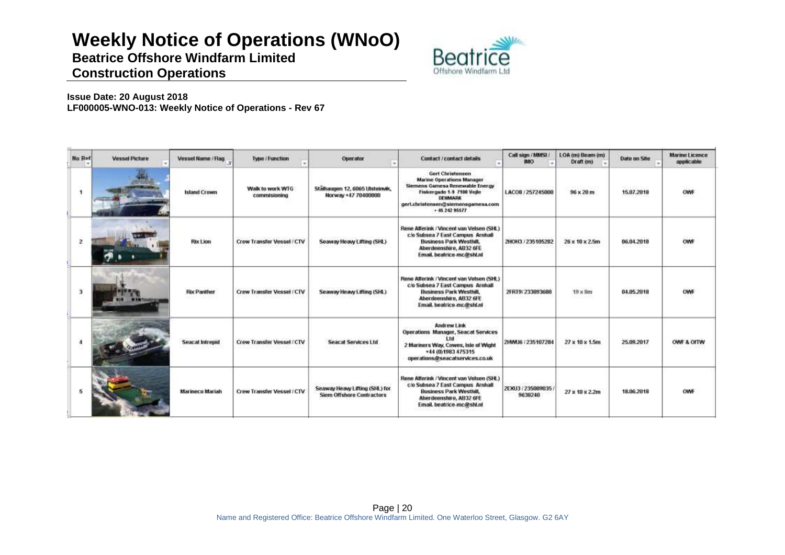**Beatrice Offshore Windfarm Limited Construction Operations**



| No Ref               | <b>Vessel Picture</b> | Vessel Name / Flag     | <b>Type / Function</b>           | Operator                                                           | Contact / contact details                                                                                                                                                                      | Call sign / MMSL/<br><b>IMO</b> | LOA (m) Beam (m)<br>Draft (m) | Date on Site | <b>Marine Licence</b><br>applicable |
|----------------------|-----------------------|------------------------|----------------------------------|--------------------------------------------------------------------|------------------------------------------------------------------------------------------------------------------------------------------------------------------------------------------------|---------------------------------|-------------------------------|--------------|-------------------------------------|
| $\ddot{\phantom{1}}$ |                       | <b>Island Crown</b>    | Walk to work WTG<br>commisioning | Stälhaugen 12, 6065 Ulsteinvik,<br>Norway +47 70400000             | <b>Gert Christensen</b><br><b>Marine Operations Manager</b><br>Siemens Gamesa Renewable Energy<br>Fiskergade 1-9 7100 Veile<br>DEHMARK<br>gert.christensen@siemensgamesa.com<br>+ 46 242 95677 | LACOS / 257245000               | 96 x 20 m                     | 15.07.2018   | <b>OWNF</b>                         |
| $\mathbf{z}$         |                       | <b>Rix Lion</b>        | Crew Transfer Vessel / CTV       | Seaway Heavy Lifting (SHL)                                         | Rene Alferink / Vincent van Velsen (SHL)<br>c/o Subsea 7 East Campus Arnhall<br><b>Business Park Westhill.</b><br>Aberdeenshire, AB32 6FE<br>Email, beatrice-mc@shl.nl                         | ZHOH3 / 235105282               | 26 x 10 x 2.5m                | 06.04.2018   | OWF                                 |
| 3                    |                       | <b>Rix Panther</b>     | Crew Transfer Vessel / CTV       | Seaway Heavy Lifting (SHL)                                         | Rene Alferink / Vincent van Velsen (SHL)<br>cio Subsea 7 East Campus Arnhall<br><b>Business Park Westhill</b><br>Aberdeenshire, AB32 6FE<br>Email. beatrice-mc@shl.nl                          | 2FRT9/233093688                 | $19 \times 8m$                | 04.05.2018   | OWF                                 |
|                      |                       | <b>Seacat Intrepid</b> | Crew Transfer Vessel / CTV       | <b>Seacat Services Ltd</b>                                         | Andrew Link<br>Operations Manager, Seacat Services<br>2 Mariners Way, Cowes, Isle of Wight<br>+44 (0)1983 475315<br>operations@seacatservices.co.uk                                            | 2HMU6 / 235107284               | 27 x 10 x 1.5m                | 25.09.2017   | OWE & OITW                          |
|                      |                       | Marineco Mariah        | Crew Transfer Vessel / CTV       | Seaway Heavy Lifting (SHL) for<br><b>Siem Offshore Contractors</b> | Rene Alferink / Vincent van Velsen (SHL)<br>c/o Subsea 7 East Campus Arnhall<br><b>Business Park Westhill</b><br>Aberdeenshire, AB32 6FE<br>Email, beatrice-mc@shl.nl                          | 2EXU3 / 235009035<br>9638240    | 27 x 10 x 2.2m                | 18,06,2018   | <b>OWNE</b>                         |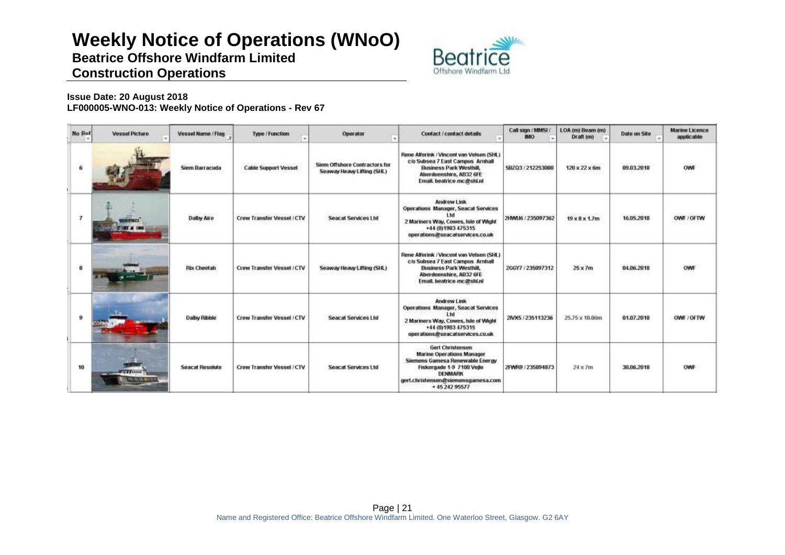**Beatrice Offshore Windfarm Limited Construction Operations**



| No Ref         | <b>Vessel Picture</b>                      | Vessel Name / Flag.    | Type / Function                   | Operator<br>٠                                               | Contact / contact details                                                                                                                                                              | Call sign / MMSL/<br><b>IMO</b> | LOA (m) Beam (m)<br>Draft im) | Date on Site | <b>Marine Licence</b><br>applicable |
|----------------|--------------------------------------------|------------------------|-----------------------------------|-------------------------------------------------------------|----------------------------------------------------------------------------------------------------------------------------------------------------------------------------------------|---------------------------------|-------------------------------|--------------|-------------------------------------|
| 6              |                                            | Siem Barracuda         | <b>Cable Support Vessel</b>       | Siem Offshore Contractors for<br>Seaway Heavy Lifting (SHL) | Rene Alferink / Vincent van Velsen (SHL)<br>cio Subsea 7 East Campus Arnhalt<br><b>Business Park Westhill,</b><br>Aberdeenshire, AB32 6FE<br>Email. beatrice-mc@shl.nl                 | 58203/212253000                 | $120 \times 22 \times 6m$     | 09.03.2018   | OWF                                 |
| $\overline{7}$ |                                            | <b>Dalby Aire</b>      | <b>Crew Transfer Vessel / CTV</b> | <b>Seacat Services Ltd</b>                                  | Andrew Link<br><b>Operations Manager, Seacat Services</b><br>l tri<br>2 Mariners Way, Cowes, Isle of Wight<br>+44 (0)1983 475315<br>operations@seacatservices.co.uk                    | 2HMU6 / 235097362               | $19 \times 8 \times 1.7m$     | 16.05.2018   | OWF / OFTW                          |
| 8              |                                            | <b>Rix Cheetah</b>     | Crew Transfer Vessel / CTV        | Seaway Heavy Lifting (SHL)                                  | Rene Alferink / Vincent van Velsen (SHL)<br>c/o Subsea 7 East Campus Arnhalt<br><b>Business Park Westhill,</b><br>Aberdeenshire, AB32 6FE<br>Email. beatrice-mc@shl.nl                 | 266Y7 / 235097312               | $25 \times 7m$                | 04.06.2018   | OWF                                 |
| 9              |                                            | Dalby Ribble           | Crew Transfer Vessel / CTV        | <b>Seacat Services Ltd</b>                                  | <b>Andrew Link</b><br>Operations Manager, Seacat Services<br>11d<br>2 Mariners Way, Cowes, Isle of Wight<br>+44 (0)1983 475315<br>operations@seacatservices.co.uk                      | 2NX5 / 235113236                | 25.75 x 10.06m                | 81.07.2018   | OWE / OFTW                          |
| 10             | <b>TELEVISION</b><br><b>CLOSE RESIDENT</b> | <b>Seacat Resolute</b> | <b>Crew Transfer Vessel / CTV</b> | <b>Seacat Services Ltd</b>                                  | Gert Christensen<br>Marine Operations Manager<br>Siemens Gamesa Renewable Eneroy<br>Fiskergade 1-9 7100 Vejle<br><b>DENMARK</b><br>gert.christensen@siemensgamesa.com<br>+45 242 95577 | 2FWR9 / 235094873               | $24 \times 7m$                | 30.06.2018   | <b>OWF</b>                          |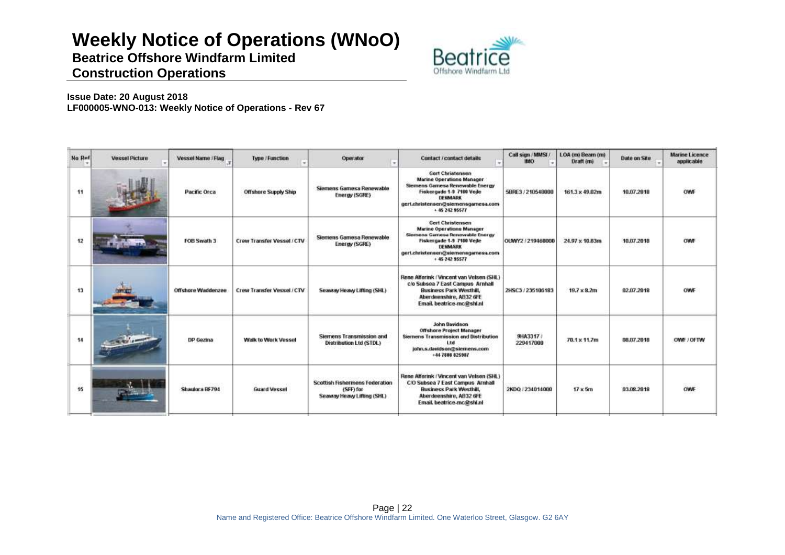**Beatrice Offshore Windfarm Limited Construction Operations**



| <b>No Ref</b> | <b>Vessel Picture</b> | Vessel Name / Flag | Type / Function             | Operator<br>×                                                                    | <b>Contact/contact details</b>                                                                                                                                                                            | Call sign / MMSI<br>IMO. | LOA (m) Beam (m)<br>Draft (m) | <b>Date on Site</b> | <b>Marine Licence</b><br>applicable |
|---------------|-----------------------|--------------------|-----------------------------|----------------------------------------------------------------------------------|-----------------------------------------------------------------------------------------------------------------------------------------------------------------------------------------------------------|--------------------------|-------------------------------|---------------------|-------------------------------------|
| 11            |                       | Pacific Orca       | <b>Offshore Supply Ship</b> | Siemens Gamesa Renewable<br>Energy (SGRE)                                        | <b>Gert Christensen</b><br><b>Marine Operations Manager</b><br>Siemens Gamesa Renewable Energy<br>Fiskergade 1-9 7180 Veile<br><b>DENMARK</b><br>gert.christensen@siemensgamesa.com<br>$+ 46, 242, 95577$ | 5BRE3 / 210548000        | 161.3 x 49.02m                | 10.07.2018          | OWN                                 |
| 12            |                       | FOB Swath 3        | Crew Transfer Vessel / CTV  | Siemens Gamesa Renewable<br>Energy (SGRE)                                        | <b>Gert Christensen</b><br><b>Marine Operations Manager</b><br>Siemens Gamesa Renewable Energy<br>Fiskergade 1-9 7100 Vejle<br>DENMARK<br>gert.christensen@siemensgamesa.com<br>+ 45 242 95577            | OUWY2 / 219460000        | 24.97 x 10.83m                | 10.07.2018          | <b>CIAR</b>                         |
| 13            |                       | Offshore Waddenzee | Crew Transfer Vessel / CTV  | Seaway Heavy Lifting (SHL)                                                       | Rene Alferink / Vincent van Velsen (SHL)<br>c/o Subsea 7 East Campus Arnhall<br><b>Business Park Westhill,</b><br>Aberdeenshire, AB32 6FE<br>Email. beatrice-mc@shl.nl                                    | 2HSC3 / 235106183        | $19.7 \times 8.2m$            | 82,07,2018          | <b>OWE</b>                          |
| 14            |                       | DP Gezina          | <b>Walk to Work Vessel</b>  | Siemens Transmission and<br>Distribution Ltd (STDL)                              | John Davidson<br>Offshore Project Manager<br>Siemens Transmission and Distribution<br>t tel.<br>john.s.davidson@siemens.com<br>$+447806825987$                                                            | 9HA3317 /<br>229417000   | 70.1 x 11.7m                  | 88.87.2018          | OWE / OFTW                          |
| 15            |                       | Shaulora BF794     | <b>Guard Vessel</b>         | <b>Scottish Fishermens Federation</b><br>(SFF) for<br>Seaway Heavy Lifting (SHL) | Rene Alferink / Vincent van Velsen (SHL)<br>C/O Subsea 7 East Campus Arnhall<br><b>Business Park Westhill.</b><br>Aberdeenshire, AB32 6FE<br>Email, beatrice-mc@shl.nl                                    | 2KDQ / 234014000         | $17 \times 5m$                | 03.08.2018          | OWF                                 |